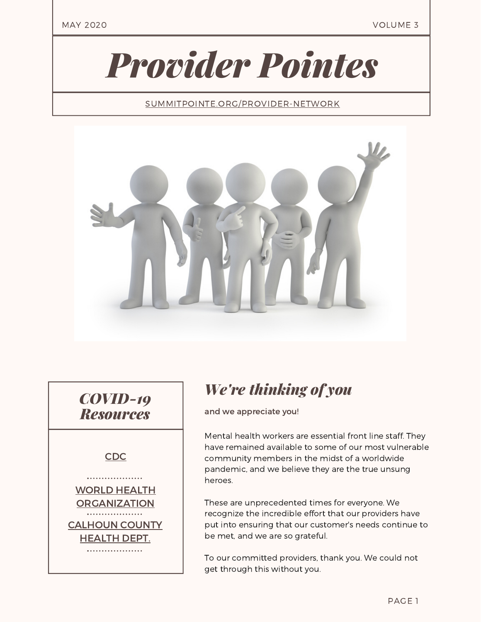MAY 2020 VOLUME 3

# *Provider Pointes*

[SUMMITPOINTE.ORG/PROVIDER-NETWORK](https://www.summitpointe.org/provider-network/)



*COVID-19 Resources*

#### [CDC](https://www.cdc.gov/coronavirus/2019-nCoV/index.html)

................... WORLD HEALTH **[ORGANIZATION](https://www.who.int/emergencies/diseases/novel-coronavirus-2019)** . . . . . . . . . . . . . . . . . . . [CALHOUN](https://www.calhouncountymi.gov/departments/public_health_department/coronavirus_(covid-19).php) COUNTY HEALTH DEPT. . . . . . . . . . . . . . . . . . . .

## *We're thinking of you*

and we appreciate you!

Mental health workers are essential front line staff. They have remained available to some of our most vulnerable community members in the midst of a worldwide pandemic, and we believe they are the true unsung heroes.

These are unprecedented times for everyone. We recognize the incredible effort that our providers have put into ensuring that our customer's needs continue to be met, and we are so grateful.

To our committed providers, thank you. We could not get through this without you.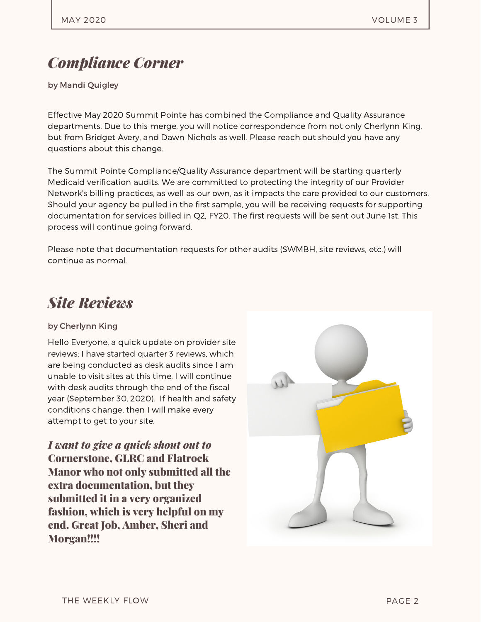## *Compliance Corner*

by Mandi Quigley

Effective May 2020 Summit Pointe has combined the Compliance and Quality Assurance departments. Due to this merge, you will notice correspondence from not only Cherlynn King, but from Bridget Avery, and Dawn Nichols as well. Please reach out should you have any questions about this change.

The Summit Pointe Compliance/Quality Assurance department will be starting quarterly Medicaid verification audits. We are committed to protecting the integrity of our Provider Network's billing practices, as well as our own, as it impacts the care provided to our customers. Should your agency be pulled in the first sample, you will be receiving requests for supporting documentation for services billed in Q2, FY20. The first requests will be sent out June 1st. This process will continue going forward.

Please note that documentation requests for other audits (SWMBH, site reviews, etc.) will continue as normal.

## *Site Reviews*

#### by Cherlynn King

Hello Everyone, a quick update on provider site reviews: I have started quarter 3 reviews, which are being conducted as desk audits since I am unable to visit sites at this time. I will continue with desk audits through the end of the fiscal year (September 30, 2020). If health and safety conditions change, then I will make every attempt to get to your site.

*I want to give a quick shout out to* Cornerstone, GLRC and Flatrock Manor who not only submitted all the extra documentation, but they submitted it in a very organized fashion, which is very helpful on my end. Great Job, Amber, Sheri and Morgan!!!!